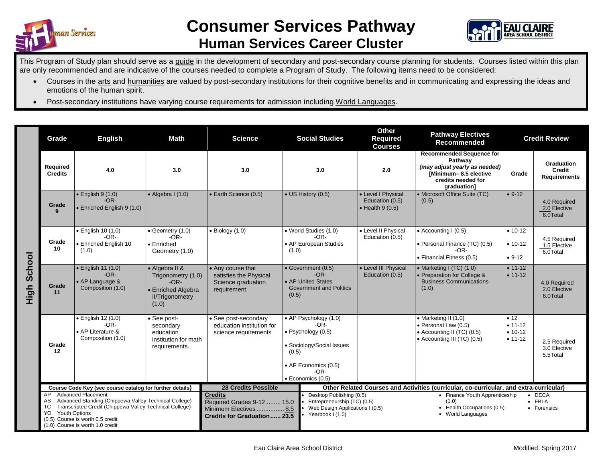



## This Program of Study plan should serve as a guide in the development of secondary and post-secondary course planning for students. Courses listed within this plan are only recommended and are indicative of the courses needed to complete a Program of Study. The following items need to be considered:

- Courses in the arts and humanities are valued by post-secondary institutions for their cognitive benefits and in communicating and expressing the ideas and emotions of the human spirit.
- Post-secondary institutions have varying course requirements for admission including World Languages.

|                | Grade                                                                                       | <b>Math</b><br><b>English</b>                                                                                                                                                                                               |                                                                                | <b>Science</b>                                                                           | <b>Social Studies</b>                                                                                                                                              | <b>Other</b><br>Required<br><b>Courses</b>                                                                                                 | <b>Pathway Electives</b><br>Recommended                                                                                                   | <b>Credit Review</b>                                |                                             |  |  |
|----------------|---------------------------------------------------------------------------------------------|-----------------------------------------------------------------------------------------------------------------------------------------------------------------------------------------------------------------------------|--------------------------------------------------------------------------------|------------------------------------------------------------------------------------------|--------------------------------------------------------------------------------------------------------------------------------------------------------------------|--------------------------------------------------------------------------------------------------------------------------------------------|-------------------------------------------------------------------------------------------------------------------------------------------|-----------------------------------------------------|---------------------------------------------|--|--|
|                | Required<br><b>Credits</b>                                                                  | 4.0                                                                                                                                                                                                                         | 3.0                                                                            | 3.0                                                                                      | 3.0                                                                                                                                                                | 2.0                                                                                                                                        | <b>Recommended Sequence for</b><br>Pathway<br>(may adjust yearly as needed)<br>[Minimum-8.5 elective<br>credits needed for<br>graduation] | Grade                                               | Graduation<br>Credit<br><b>Requirements</b> |  |  |
|                | Grade<br>9                                                                                  | $\bullet$ English 9 (1.0)<br>$-OR-$<br>• Enriched English 9 (1.0)                                                                                                                                                           | $\bullet$ Algebra I (1.0)                                                      | <b>Earth Science (0.5)</b>                                                               | • US History (0.5)                                                                                                                                                 | • Level I Physical<br>Education (0.5)<br>$\bullet$ Health 9 (0.5)                                                                          | • Microsoft Office Suite (TC)<br>(0.5)                                                                                                    | $• 9-12$                                            | 4.0 Required<br>2.0 Elective<br>6.0Total    |  |  |
|                | Grade<br>10                                                                                 | • English 10 (1.0)<br>$\bullet$ Geometry (1.0)<br>$-OR-$<br>$-OR-$<br>• Enriched English 10<br>• Enriched<br>(1.0)<br>Geometry (1.0)                                                                                        |                                                                                | $\bullet$ Biology (1.0)                                                                  | • World Studies (1.0)<br>$-OR-$<br>• AP European Studies<br>(1.0)                                                                                                  | • Level II Physical<br>Education (0.5)                                                                                                     | $\bullet$ Accounting I (0.5)<br>• Personal Finance (TC) (0.5)<br>$-OR-$<br>• Financial Fitness (0.5)                                      | $• 10-12$<br>$• 10-12$<br>$• 9-12$                  | 4.5 Required<br>1.5 Elective<br>6.0Total    |  |  |
| School<br>High | Grade<br>11                                                                                 | $\bullet$ English 11 (1.0)<br>• Algebra II &<br>• Any course that<br>$-OR-$<br>Trigonometry (1.0)<br>• AP Language &<br>$-OR-$<br>Composition (1.0)<br>requirement<br>• Enriched Algebra<br><b>II/Trigonometry</b><br>(1.0) |                                                                                | satisfies the Physical<br>Science graduation                                             | • Government (0.5)<br>$-OR-$<br>• AP United States<br><b>Government and Politics</b><br>(0.5)                                                                      | • Level III Physical<br>Education (0.5)                                                                                                    | • Marketing I $(TC)$ $(1.0)$<br>• Preparation for College &<br><b>Business Communications</b><br>(1.0)                                    | $\bullet$ 11-12<br>$\bullet$ 11-12                  | 4.0 Required<br>2.0 Elective<br>6.0Total    |  |  |
|                | Grade<br>12                                                                                 | $\bullet$ English 12 (1.0)<br>$-OR-$<br>• AP Literature &<br>Composition (1.0)                                                                                                                                              | • See post-<br>secondary<br>education<br>institution for math<br>requirements. | • See post-secondary<br>education institution for<br>science requirements                | • AP Psychology (1.0)<br>$-OR-$<br>$\bullet$ Psychology (0.5)<br>• Sociology/Social Issues<br>(0.5)<br>• AP Economics (0.5)<br>$-OR-$<br>$\bullet$ Economics (0.5) |                                                                                                                                            | • Marketing II (1.0)<br>· Personal Law (0.5)<br>• Accounting II (TC) (0.5)<br>• Accounting III (TC) (0.5)                                 | • 12<br>$\bullet$ 11-12<br>$• 10-12$<br>$• 11 - 12$ | 2.5 Required<br>3.0 Elective<br>5.5Total    |  |  |
|                | Course Code Key (see course catalog for further details)<br><b>Advanced Placement</b><br>AP |                                                                                                                                                                                                                             |                                                                                | <b>28 Credits Possible</b><br><b>Credits</b>                                             | Desktop Publishing (0.5)                                                                                                                                           | Other Related Courses and Activities (curricular, co-curricular, and extra-curricular)<br>$\bullet$ DECA<br>• Finance Youth Apprenticeship |                                                                                                                                           |                                                     |                                             |  |  |
|                | AS<br><b>TC</b><br>YO<br><b>Youth Options</b>                                               | Advanced Standing (Chippewa Valley Technical College)<br>Transcripted Credit (Chippewa Valley Technical College)<br>(0.5) Course is worth 0.5 credit<br>(1.0) Course is worth 1.0 credit                                    |                                                                                | Required Grades 9-12 15.0<br>Minimum Electives 8.5<br><b>Credits for Graduation 23.5</b> | Yearbook I (1.0)                                                                                                                                                   | Entrepreneurship (TC) (0.5)<br>(1.0)<br>• Health Occupations (0.5)<br>Web Design Applications I (0.5)<br>• World Languages                 |                                                                                                                                           |                                                     | $\bullet$ FBLA<br>• Forensics               |  |  |